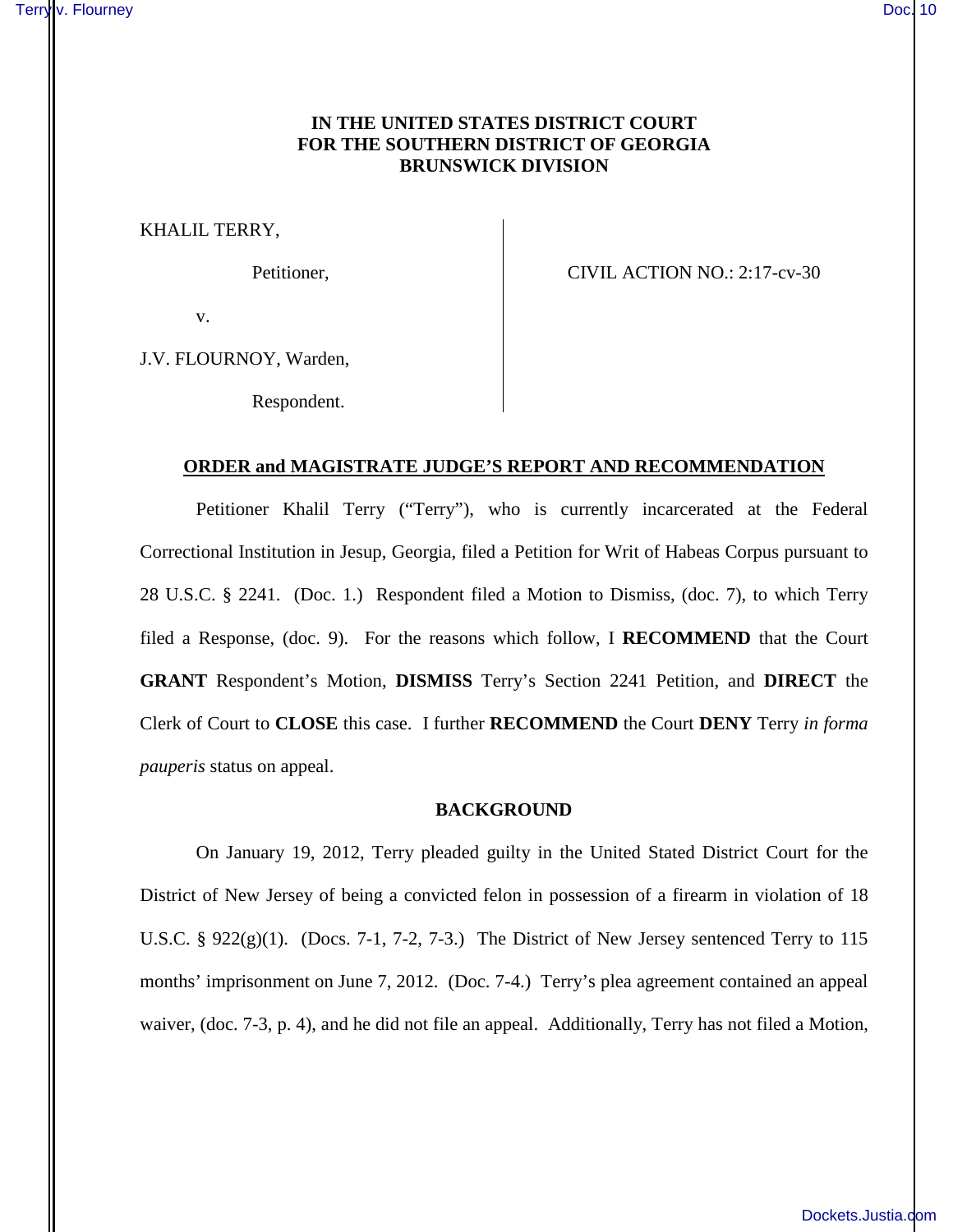# **IN THE UNITED STATES DISTRICT COURT FOR THE SOUTHERN DISTRICT OF GEORGIA BRUNSWICK DIVISION**

KHALIL TERRY,

Petitioner, CIVIL ACTION NO.: 2:17-cv-30

v.

J.V. FLOURNOY, Warden,

Respondent.

## **ORDER and MAGISTRATE JUDGE'S REPORT AND RECOMMENDATION**

Petitioner Khalil Terry ("Terry"), who is currently incarcerated at the Federal Correctional Institution in Jesup, Georgia, filed a Petition for Writ of Habeas Corpus pursuant to 28 U.S.C. § 2241. (Doc. 1.) Respondent filed a Motion to Dismiss, (doc. 7), to which Terry filed a Response, (doc. 9). For the reasons which follow, I **RECOMMEND** that the Court **GRANT** Respondent's Motion, **DISMISS** Terry's Section 2241 Petition, and **DIRECT** the Clerk of Court to **CLOSE** this case. I further **RECOMMEND** the Court **DENY** Terry *in forma pauperis* status on appeal.

#### **BACKGROUND**

On January 19, 2012, Terry pleaded guilty in the United Stated District Court for the District of New Jersey of being a convicted felon in possession of a firearm in violation of 18 U.S.C. § 922(g)(1). (Docs. 7-1, 7-2, 7-3.) The District of New Jersey sentenced Terry to 115 months' imprisonment on June 7, 2012. (Doc. 7-4.) Terry's plea agreement contained an appeal waiver, (doc. 7-3, p. 4), and he did not file an appeal. Additionally, Terry has not filed a Motion,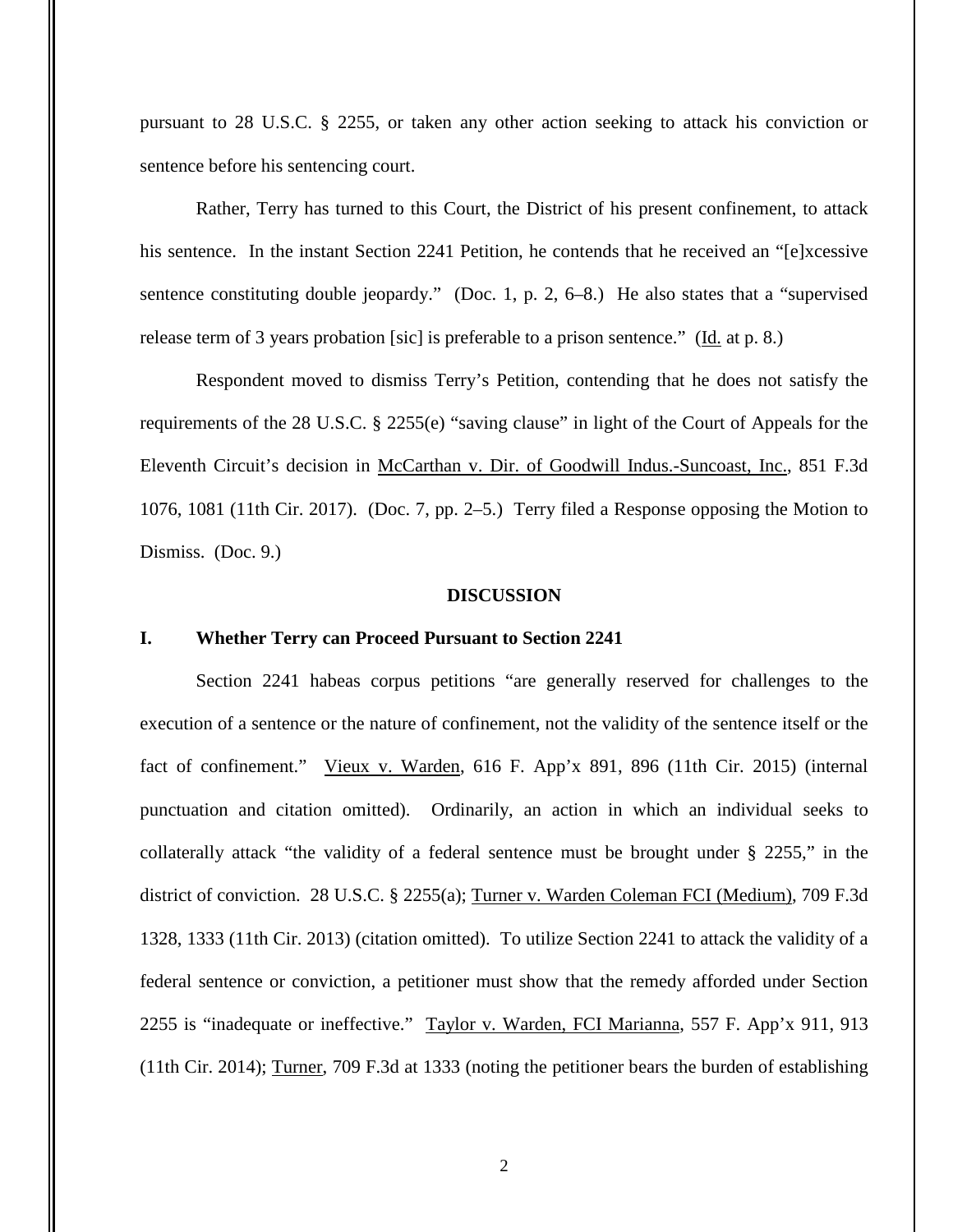pursuant to 28 U.S.C. § 2255, or taken any other action seeking to attack his conviction or sentence before his sentencing court.

Rather, Terry has turned to this Court, the District of his present confinement, to attack his sentence. In the instant Section 2241 Petition, he contends that he received an "[e]xcessive sentence constituting double jeopardy." (Doc. 1, p. 2, 6–8.) He also states that a "supervised release term of 3 years probation [sic] is preferable to a prison sentence." (Id. at p. 8.)

 Respondent moved to dismiss Terry's Petition, contending that he does not satisfy the requirements of the 28 U.S.C. § 2255(e) "saving clause" in light of the Court of Appeals for the Eleventh Circuit's decision in McCarthan v. Dir. of Goodwill Indus.-Suncoast, Inc., 851 F.3d 1076, 1081 (11th Cir. 2017). (Doc. 7, pp. 2–5.) Terry filed a Response opposing the Motion to Dismiss. (Doc. 9.)

#### **DISCUSSION**

# **I. Whether Terry can Proceed Pursuant to Section 2241**

Section 2241 habeas corpus petitions "are generally reserved for challenges to the execution of a sentence or the nature of confinement, not the validity of the sentence itself or the fact of confinement." Vieux v. Warden, 616 F. App'x 891, 896 (11th Cir. 2015) (internal punctuation and citation omitted). Ordinarily, an action in which an individual seeks to collaterally attack "the validity of a federal sentence must be brought under § 2255," in the district of conviction. 28 U.S.C. § 2255(a); Turner v. Warden Coleman FCI (Medium), 709 F.3d 1328, 1333 (11th Cir. 2013) (citation omitted). To utilize Section 2241 to attack the validity of a federal sentence or conviction, a petitioner must show that the remedy afforded under Section 2255 is "inadequate or ineffective." Taylor v. Warden, FCI Marianna, 557 F. App'x 911, 913 (11th Cir. 2014); Turner, 709 F.3d at 1333 (noting the petitioner bears the burden of establishing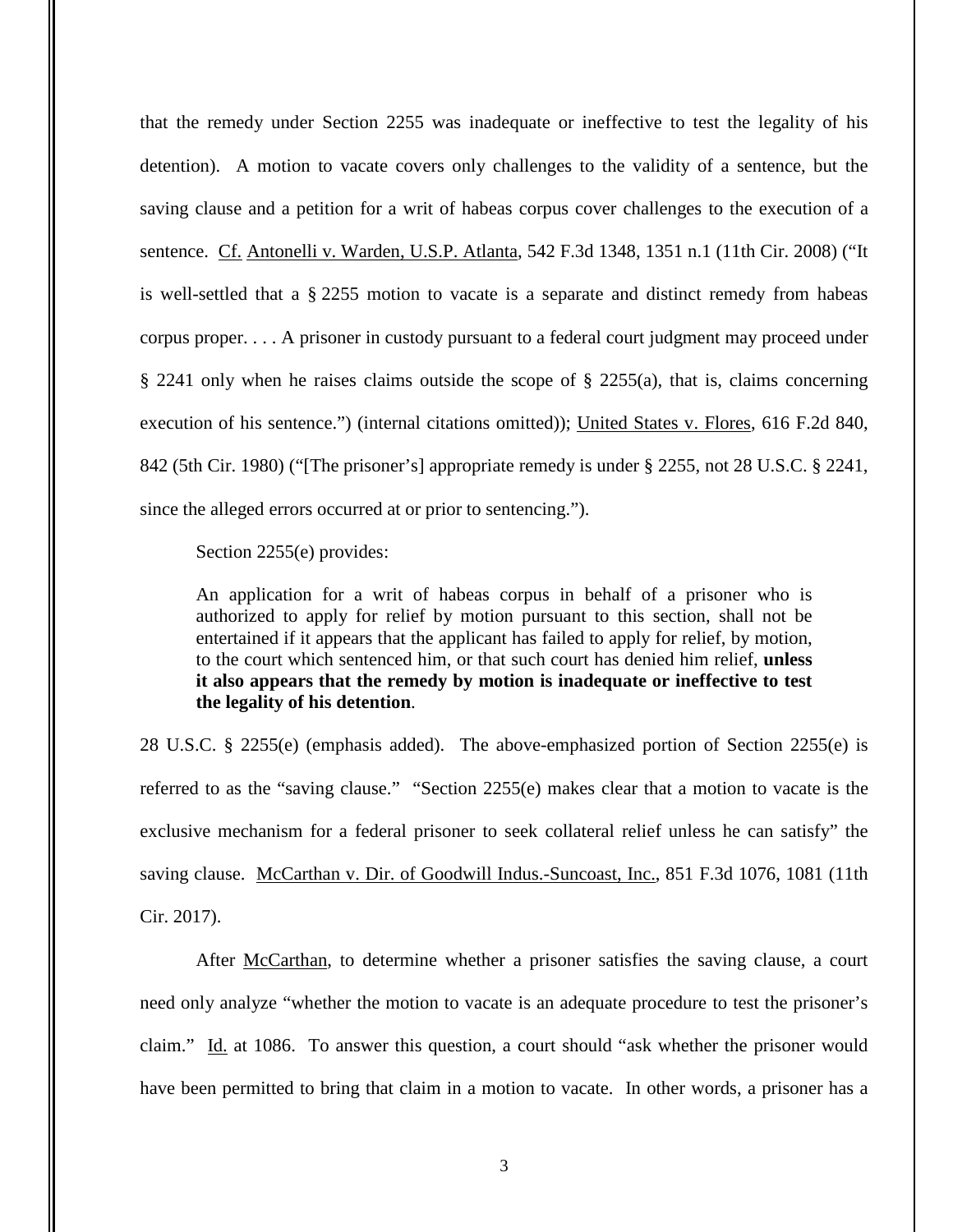that the remedy under Section 2255 was inadequate or ineffective to test the legality of his detention). A motion to vacate covers only challenges to the validity of a sentence, but the saving clause and a petition for a writ of habeas corpus cover challenges to the execution of a sentence. Cf. Antonelli v. Warden, U.S.P. Atlanta, 542 F.3d 1348, 1351 n.1 (11th Cir. 2008) ("It is well-settled that a § 2255 motion to vacate is a separate and distinct remedy from habeas corpus proper. . . . A prisoner in custody pursuant to a federal court judgment may proceed under § 2241 only when he raises claims outside the scope of § 2255(a), that is, claims concerning execution of his sentence.") (internal citations omitted)); United States v. Flores, 616 F.2d 840, 842 (5th Cir. 1980) ("[The prisoner's] appropriate remedy is under § 2255, not 28 U.S.C. § 2241, since the alleged errors occurred at or prior to sentencing.").

Section 2255(e) provides:

An application for a writ of habeas corpus in behalf of a prisoner who is authorized to apply for relief by motion pursuant to this section, shall not be entertained if it appears that the applicant has failed to apply for relief, by motion, to the court which sentenced him, or that such court has denied him relief, **unless it also appears that the remedy by motion is inadequate or ineffective to test the legality of his detention**.

28 U.S.C. § 2255(e) (emphasis added). The above-emphasized portion of Section 2255(e) is referred to as the "saving clause." "Section 2255(e) makes clear that a motion to vacate is the exclusive mechanism for a federal prisoner to seek collateral relief unless he can satisfy" the saving clause. McCarthan v. Dir. of Goodwill Indus.-Suncoast, Inc., 851 F.3d 1076, 1081 (11th Cir. 2017).

 After McCarthan, to determine whether a prisoner satisfies the saving clause, a court need only analyze "whether the motion to vacate is an adequate procedure to test the prisoner's claim." Id. at 1086. To answer this question, a court should "ask whether the prisoner would have been permitted to bring that claim in a motion to vacate. In other words, a prisoner has a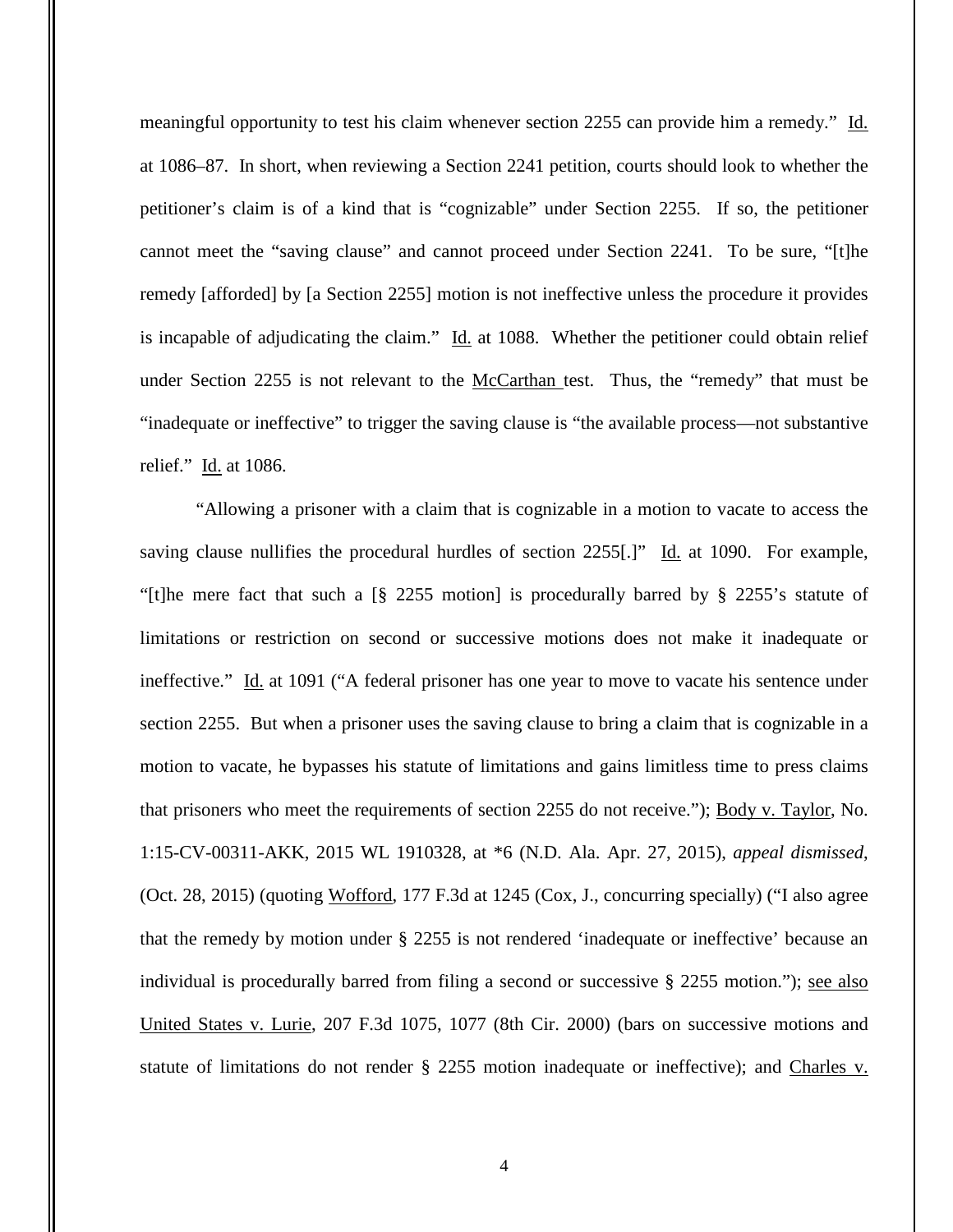meaningful opportunity to test his claim whenever section 2255 can provide him a remedy." Id. at 1086–87. In short, when reviewing a Section 2241 petition, courts should look to whether the petitioner's claim is of a kind that is "cognizable" under Section 2255. If so, the petitioner cannot meet the "saving clause" and cannot proceed under Section 2241. To be sure, "[t]he remedy [afforded] by [a Section 2255] motion is not ineffective unless the procedure it provides is incapable of adjudicating the claim." Id. at 1088. Whether the petitioner could obtain relief under Section 2255 is not relevant to the McCarthan test. Thus, the "remedy" that must be "inadequate or ineffective" to trigger the saving clause is "the available process—not substantive relief." Id. at 1086.

"Allowing a prisoner with a claim that is cognizable in a motion to vacate to access the saving clause nullifies the procedural hurdles of section 2255[.]" Id. at 1090. For example, "[t]he mere fact that such a [§ 2255 motion] is procedurally barred by § 2255's statute of limitations or restriction on second or successive motions does not make it inadequate or ineffective." Id. at 1091 ("A federal prisoner has one year to move to vacate his sentence under section 2255. But when a prisoner uses the saving clause to bring a claim that is cognizable in a motion to vacate, he bypasses his statute of limitations and gains limitless time to press claims that prisoners who meet the requirements of section 2255 do not receive."); Body v. Taylor, No. 1:15-CV-00311-AKK, 2015 WL 1910328, at \*6 (N.D. Ala. Apr. 27, 2015), *appeal dismissed*, (Oct. 28, 2015) (quoting Wofford, 177 F.3d at 1245 (Cox, J., concurring specially) ("I also agree that the remedy by motion under § 2255 is not rendered 'inadequate or ineffective' because an individual is procedurally barred from filing a second or successive § 2255 motion."); see also United States v. Lurie, 207 F.3d 1075, 1077 (8th Cir. 2000) (bars on successive motions and statute of limitations do not render § 2255 motion inadequate or ineffective); and Charles v.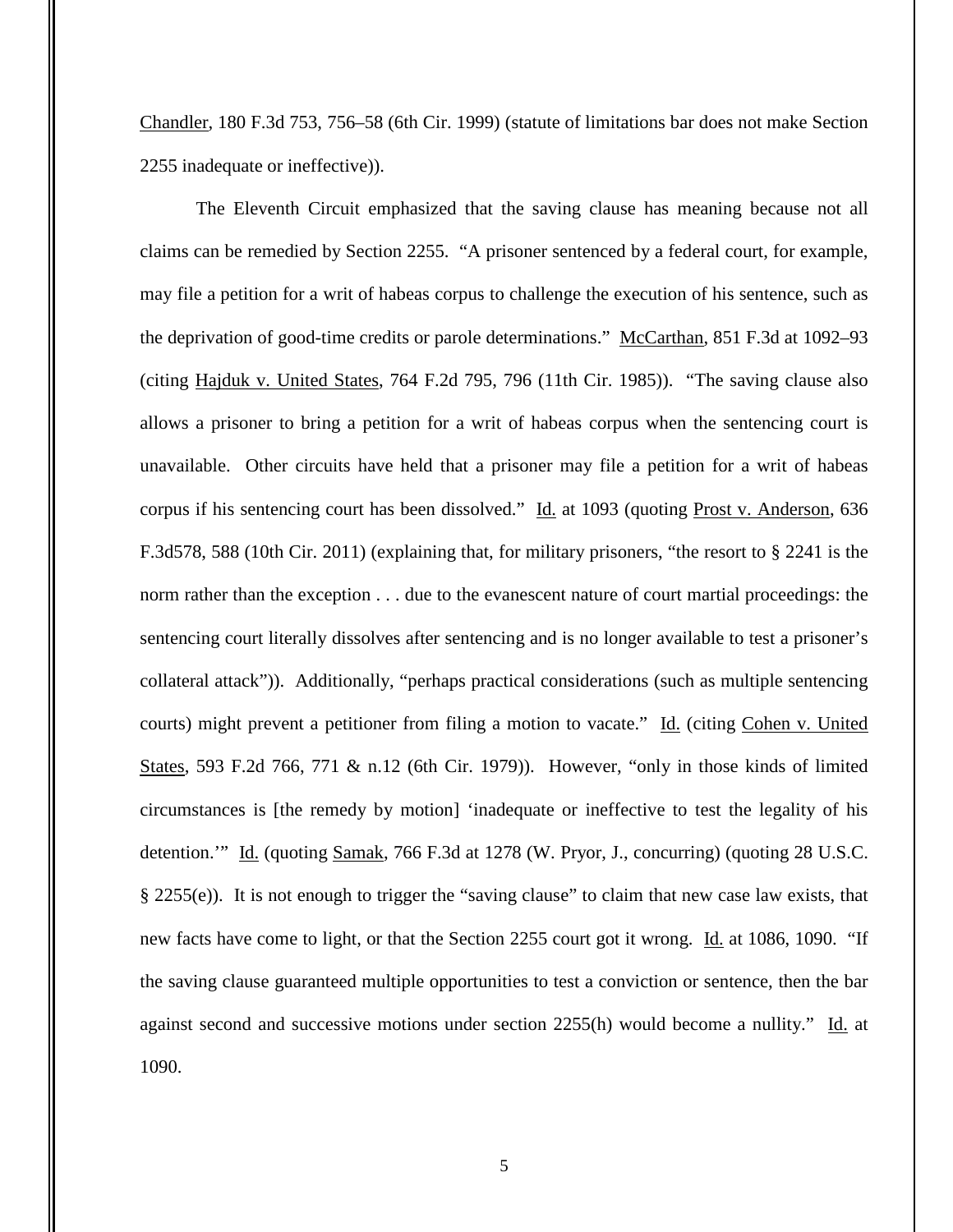Chandler, 180 F.3d 753, 756–58 (6th Cir. 1999) (statute of limitations bar does not make Section 2255 inadequate or ineffective)).

The Eleventh Circuit emphasized that the saving clause has meaning because not all claims can be remedied by Section 2255. "A prisoner sentenced by a federal court, for example, may file a petition for a writ of habeas corpus to challenge the execution of his sentence, such as the deprivation of good-time credits or parole determinations." McCarthan, 851 F.3d at 1092–93 (citing Hajduk v. United States, 764 F.2d 795, 796 (11th Cir. 1985)). "The saving clause also allows a prisoner to bring a petition for a writ of habeas corpus when the sentencing court is unavailable. Other circuits have held that a prisoner may file a petition for a writ of habeas corpus if his sentencing court has been dissolved." Id. at 1093 (quoting Prost v. Anderson, 636 F.3d578, 588 (10th Cir. 2011) (explaining that, for military prisoners, "the resort to § 2241 is the norm rather than the exception . . . due to the evanescent nature of court martial proceedings: the sentencing court literally dissolves after sentencing and is no longer available to test a prisoner's collateral attack")). Additionally, "perhaps practical considerations (such as multiple sentencing courts) might prevent a petitioner from filing a motion to vacate." Id. (citing Cohen v. United States, 593 F.2d 766, 771 & n.12 (6th Cir. 1979)). However, "only in those kinds of limited circumstances is [the remedy by motion] 'inadequate or ineffective to test the legality of his detention." Id. (quoting Samak, 766 F.3d at 1278 (W. Pryor, J., concurring) (quoting 28 U.S.C. § 2255(e)). It is not enough to trigger the "saving clause" to claim that new case law exists, that new facts have come to light, or that the Section 2255 court got it wrong. Id. at 1086, 1090. "If the saving clause guaranteed multiple opportunities to test a conviction or sentence, then the bar against second and successive motions under section 2255(h) would become a nullity." Id. at 1090.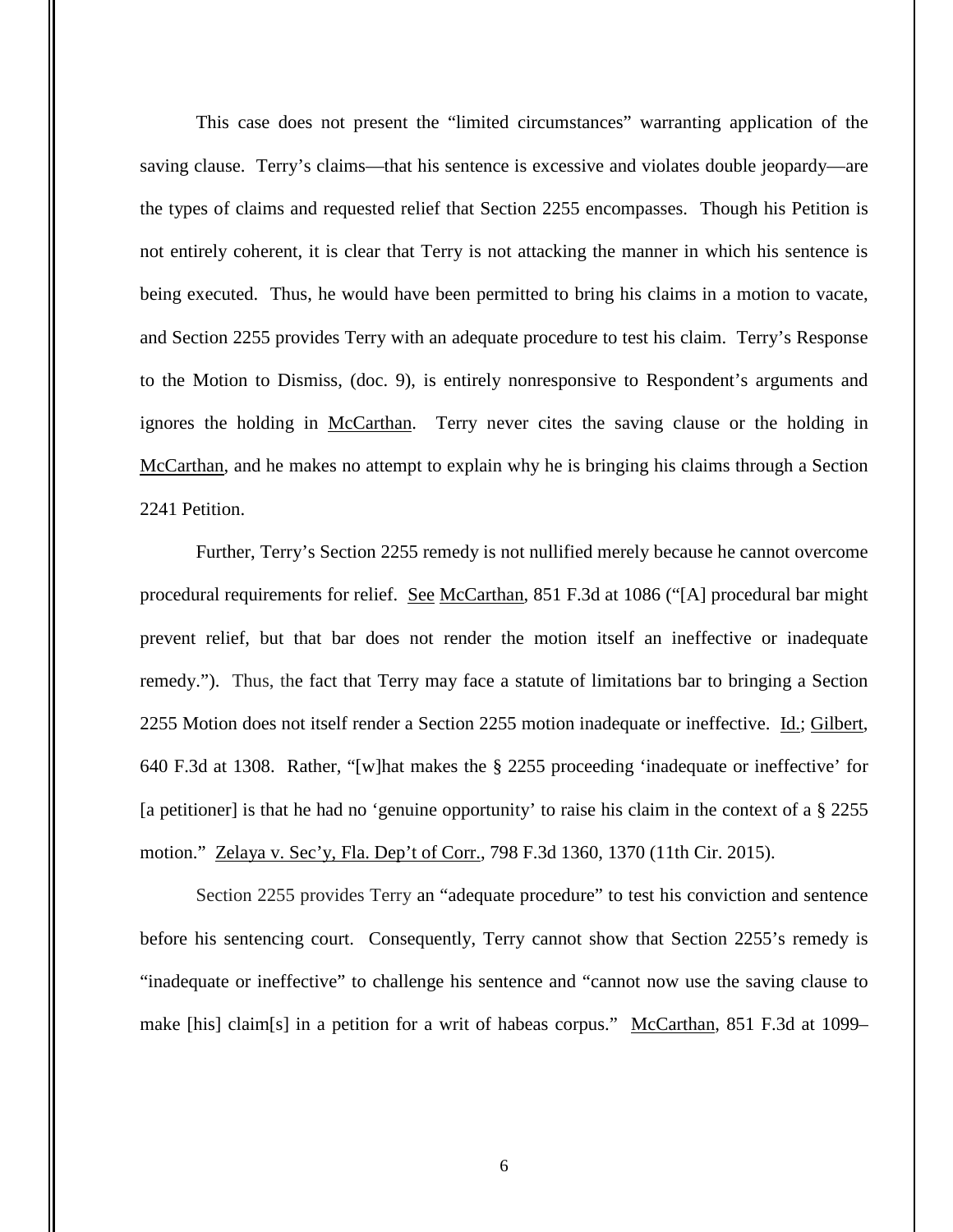This case does not present the "limited circumstances" warranting application of the saving clause. Terry's claims—that his sentence is excessive and violates double jeopardy—are the types of claims and requested relief that Section 2255 encompasses. Though his Petition is not entirely coherent, it is clear that Terry is not attacking the manner in which his sentence is being executed. Thus, he would have been permitted to bring his claims in a motion to vacate, and Section 2255 provides Terry with an adequate procedure to test his claim. Terry's Response to the Motion to Dismiss, (doc. 9), is entirely nonresponsive to Respondent's arguments and ignores the holding in McCarthan. Terry never cites the saving clause or the holding in McCarthan, and he makes no attempt to explain why he is bringing his claims through a Section 2241 Petition.

Further, Terry's Section 2255 remedy is not nullified merely because he cannot overcome procedural requirements for relief. See McCarthan, 851 F.3d at 1086 ("[A] procedural bar might prevent relief, but that bar does not render the motion itself an ineffective or inadequate remedy."). Thus, the fact that Terry may face a statute of limitations bar to bringing a Section 2255 Motion does not itself render a Section 2255 motion inadequate or ineffective. Id.; Gilbert, 640 F.3d at 1308. Rather, "[w]hat makes the § 2255 proceeding 'inadequate or ineffective' for [a petitioner] is that he had no 'genuine opportunity' to raise his claim in the context of a § 2255 motion." Zelaya v. Sec'y, Fla. Dep't of Corr., 798 F.3d 1360, 1370 (11th Cir. 2015).

Section 2255 provides Terry an "adequate procedure" to test his conviction and sentence before his sentencing court. Consequently, Terry cannot show that Section 2255's remedy is "inadequate or ineffective" to challenge his sentence and "cannot now use the saving clause to make [his] claim[s] in a petition for a writ of habeas corpus." McCarthan, 851 F.3d at 1099–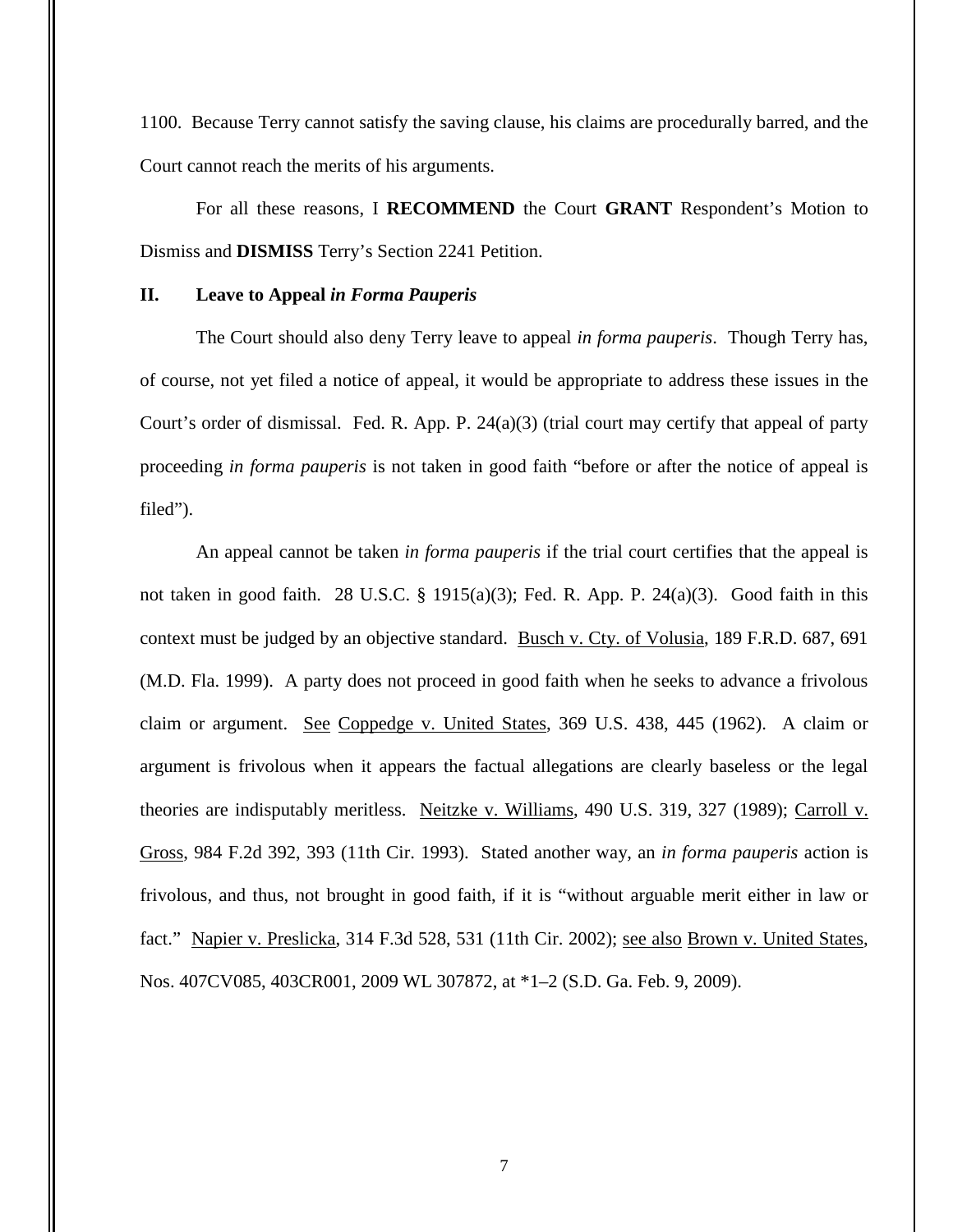1100. Because Terry cannot satisfy the saving clause, his claims are procedurally barred, and the Court cannot reach the merits of his arguments.

For all these reasons, I **RECOMMEND** the Court **GRANT** Respondent's Motion to Dismiss and **DISMISS** Terry's Section 2241 Petition.

### **II. Leave to Appeal** *in Forma Pauperis*

The Court should also deny Terry leave to appeal *in forma pauperis*. Though Terry has, of course, not yet filed a notice of appeal, it would be appropriate to address these issues in the Court's order of dismissal. Fed. R. App. P. 24(a)(3) (trial court may certify that appeal of party proceeding *in forma pauperis* is not taken in good faith "before or after the notice of appeal is filed").

An appeal cannot be taken *in forma pauperis* if the trial court certifies that the appeal is not taken in good faith. 28 U.S.C. § 1915(a)(3); Fed. R. App. P. 24(a)(3). Good faith in this context must be judged by an objective standard. Busch v. Cty. of Volusia, 189 F.R.D. 687, 691 (M.D. Fla. 1999). A party does not proceed in good faith when he seeks to advance a frivolous claim or argument. See Coppedge v. United States, 369 U.S. 438, 445 (1962). A claim or argument is frivolous when it appears the factual allegations are clearly baseless or the legal theories are indisputably meritless. Neitzke v. Williams, 490 U.S. 319, 327 (1989); Carroll v. Gross, 984 F.2d 392, 393 (11th Cir. 1993). Stated another way, an *in forma pauperis* action is frivolous, and thus, not brought in good faith, if it is "without arguable merit either in law or fact." Napier v. Preslicka, 314 F.3d 528, 531 (11th Cir. 2002); see also Brown v. United States, Nos. 407CV085, 403CR001, 2009 WL 307872, at \*1–2 (S.D. Ga. Feb. 9, 2009).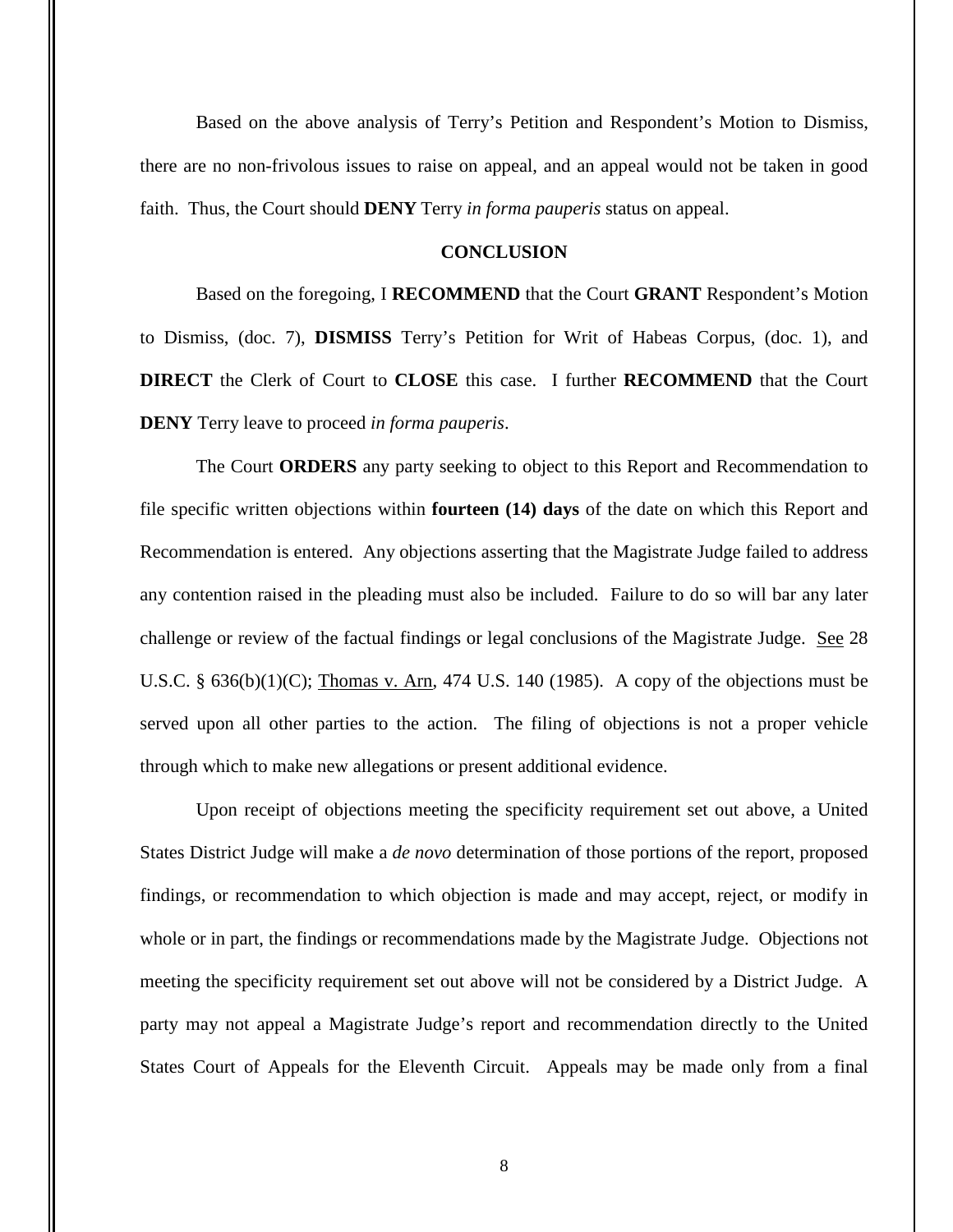Based on the above analysis of Terry's Petition and Respondent's Motion to Dismiss, there are no non-frivolous issues to raise on appeal, and an appeal would not be taken in good faith. Thus, the Court should **DENY** Terry *in forma pauperis* status on appeal.

### **CONCLUSION**

Based on the foregoing, I **RECOMMEND** that the Court **GRANT** Respondent's Motion to Dismiss, (doc. 7), **DISMISS** Terry's Petition for Writ of Habeas Corpus, (doc. 1), and **DIRECT** the Clerk of Court to **CLOSE** this case. I further **RECOMMEND** that the Court **DENY** Terry leave to proceed *in forma pauperis*.

The Court **ORDERS** any party seeking to object to this Report and Recommendation to file specific written objections within **fourteen (14) days** of the date on which this Report and Recommendation is entered. Any objections asserting that the Magistrate Judge failed to address any contention raised in the pleading must also be included. Failure to do so will bar any later challenge or review of the factual findings or legal conclusions of the Magistrate Judge. See 28 U.S.C. §  $636(b)(1)(C)$ ; Thomas v. Arn, 474 U.S. 140 (1985). A copy of the objections must be served upon all other parties to the action. The filing of objections is not a proper vehicle through which to make new allegations or present additional evidence.

Upon receipt of objections meeting the specificity requirement set out above, a United States District Judge will make a *de novo* determination of those portions of the report, proposed findings, or recommendation to which objection is made and may accept, reject, or modify in whole or in part, the findings or recommendations made by the Magistrate Judge. Objections not meeting the specificity requirement set out above will not be considered by a District Judge. A party may not appeal a Magistrate Judge's report and recommendation directly to the United States Court of Appeals for the Eleventh Circuit. Appeals may be made only from a final